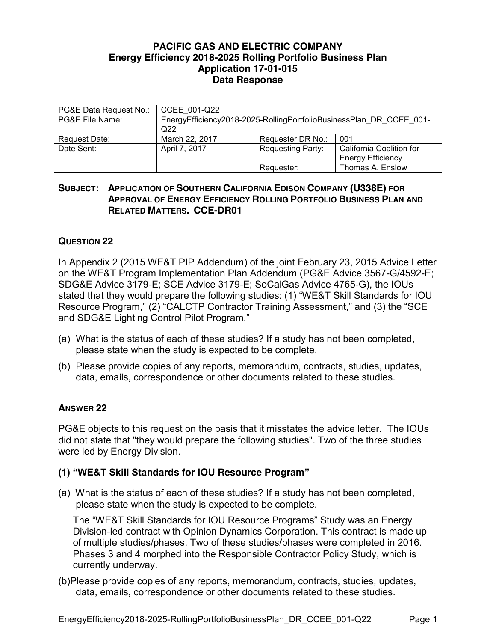## **PACIFIC GAS AND ELECTRIC COMPANY Energy Efficiency 2018-2025 Rolling Portfolio Business Plan Application 17-01-015 Data Response**

| PG&E Data Request No.: | CCEE 001-Q22                                                                           |                          |                                                      |
|------------------------|----------------------------------------------------------------------------------------|--------------------------|------------------------------------------------------|
| PG&E File Name:        | EnergyEfficiency2018-2025-RollingPortfolioBusinessPlan DR CCEE 001-<br>Q <sub>22</sub> |                          |                                                      |
| Request Date:          | March 22, 2017                                                                         | Requester DR No.:        | 001                                                  |
| Date Sent:             | April 7, 2017                                                                          | <b>Requesting Party:</b> | California Coalition for<br><b>Energy Efficiency</b> |
|                        |                                                                                        | Requester:               | Thomas A. Enslow                                     |

### **SUBJECT: APPLICATION OF SOUTHERN CALIFORNIA EDISON COMPANY (U338E) FOR APPROVAL OF ENERGY EFFICIENCY ROLLING PORTFOLIO BUSINESS PLAN AND RELATED MATTERS. CCE-DR01**

## **QUESTION 22**

In Appendix 2 (2015 WE&T PIP Addendum) of the joint February 23, 2015 Advice Letter on the WE&T Program Implementation Plan Addendum (PG&E Advice 3567-G/4592-E; SDG&E Advice 3179-E; SCE Advice 3179-E; SoCalGas Advice 4765-G), the IOUs stated that they would prepare the following studies: (1) "WE&T Skill Standards for IOU Resource Program," (2) "CALCTP Contractor Training Assessment," and (3) the "SCE and SDG&E Lighting Control Pilot Program."

- (a) What is the status of each of these studies? If a study has not been completed, please state when the study is expected to be complete.
- (b) Please provide copies of any reports, memorandum, contracts, studies, updates, data, emails, correspondence or other documents related to these studies.

#### **ANSWER 22**

PG&E objects to this request on the basis that it misstates the advice letter. The IOUs did not state that "they would prepare the following studies". Two of the three studies were led by Energy Division.

## **(1) "WE&T Skill Standards for IOU Resource Program"**

(a) What is the status of each of these studies? If a study has not been completed, please state when the study is expected to be complete.

The "WE&T Skill Standards for IOU Resource Programs" Study was an Energy Division-led contract with Opinion Dynamics Corporation. This contract is made up of multiple studies/phases. Two of these studies/phases were completed in 2016. Phases 3 and 4 morphed into the Responsible Contractor Policy Study, which is currently underway.

(b)Please provide copies of any reports, memorandum, contracts, studies, updates, data, emails, correspondence or other documents related to these studies.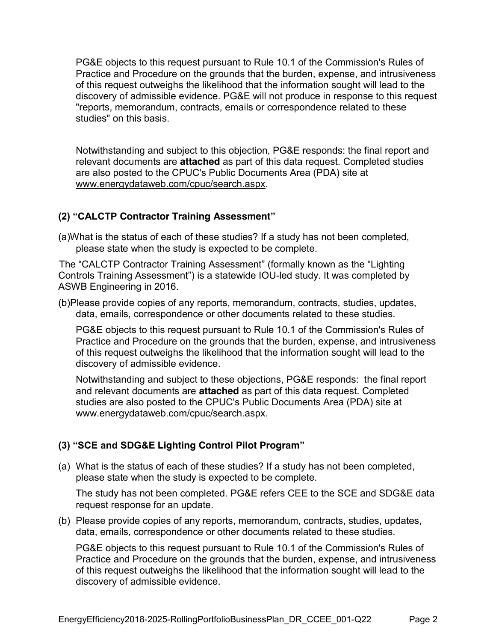PG&E objects to this request pursuant to Rule 10.1 of the Commission's Rules of Practice and Procedure on the grounds that the burden, expense, and intrusiveness of this request outweighs the likelihood that the information sought will lead to the discovery of admissible evidence. PG&E will not produce in response to this request "reports, memorandum, contracts, emails or correspondence related to these studies" on this basis.

Notwithstanding and subject to this objection, PG&E responds: the final report and relevant documents are **attached** as part of this data request. Completed studies are also posted to the CPUC's Public Documents Area (PDA) site at www.energydataweb.com/cpuc/search.aspx.

# **(2) "CALCTP Contractor Training Assessment"**

(a)What is the status of each of these studies? If a study has not been completed, please state when the study is expected to be complete.

The "CALCTP Contractor Training Assessment" (formally known as the "Lighting Controls Training Assessment") is a statewide IOU-led study. It was completed by ASWB Engineering in 2016.

(b)Please provide copies of any reports, memorandum, contracts, studies, updates, data, emails, correspondence or other documents related to these studies.

PG&E objects to this request pursuant to Rule 10.1 of the Commission's Rules of Practice and Procedure on the grounds that the burden, expense, and intrusiveness of this request outweighs the likelihood that the information sought will lead to the discovery of admissible evidence.

Notwithstanding and subject to these objections, PG&E responds: the final report and relevant documents are **attached** as part of this data request. Completed studies are also posted to the CPUC's Public Documents Area (PDA) site at www.energydataweb.com/cpuc/search.aspx.

## **(3) "SCE and SDG&E Lighting Control Pilot Program"**

(a) What is the status of each of these studies? If a study has not been completed, please state when the study is expected to be complete.

The study has not been completed. PG&E refers CEE to the SCE and SDG&E data request response for an update.

(b) Please provide copies of any reports, memorandum, contracts, studies, updates, data, emails, correspondence or other documents related to these studies.

PG&E objects to this request pursuant to Rule 10.1 of the Commission's Rules of Practice and Procedure on the grounds that the burden, expense, and intrusiveness of this request outweighs the likelihood that the information sought will lead to the discovery of admissible evidence.